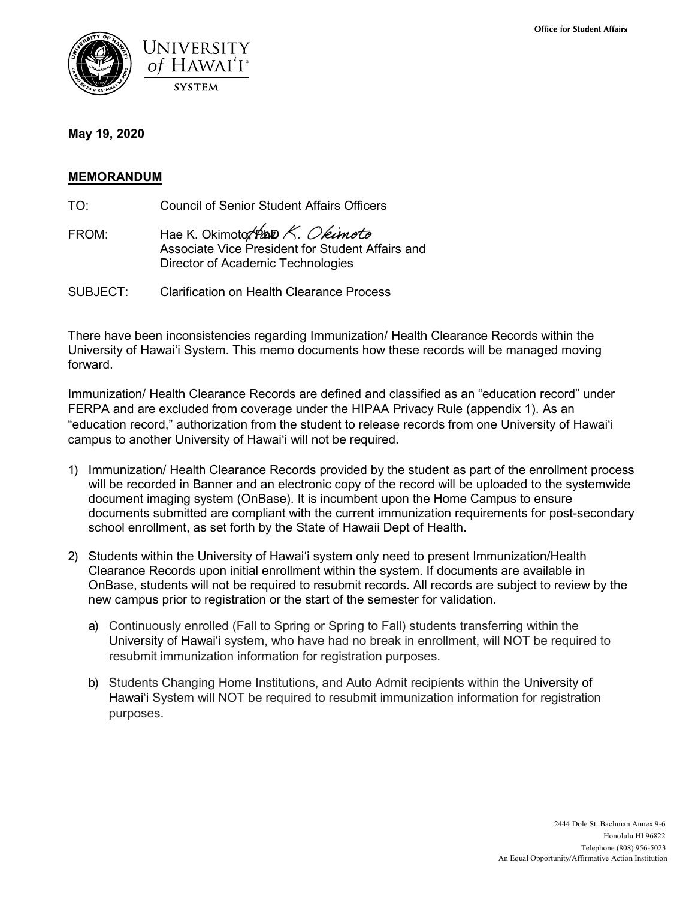

## **May 19, 2020**

## **MEMORANDUM**

TO: Council of Senior Student Affairs Officers

- FROM: Hae K. Okimoto, Php  $K.$  Okimoto Associate Vice President for Student Affairs and Director of Academic Technologies
- SUBJECT: Clarification on Health Clearance Process

There have been inconsistencies regarding Immunization/ Health Clearance Records within the University of Hawaiʻi System. This memo documents how these records will be managed moving forward.

Immunization/ Health Clearance Records are defined and classified as an "education record" under FERPA and are excluded from coverage under the HIPAA Privacy Rule (appendix 1). As an "education record," authorization from the student to release records from one University of Hawaiʻi campus to another University of Hawaiʻi will not be required.

- 1) Immunization/ Health Clearance Records provided by the student as part of the enrollment process will be recorded in Banner and an electronic copy of the record will be uploaded to the systemwide document imaging system (OnBase). It is incumbent upon the Home Campus to ensure documents submitted are compliant with the current immunization requirements for post-secondary school enrollment, as set forth by the State of Hawaii Dept of Health.
- 2) Students within the University of Hawaiʻi system only need to present Immunization/Health Clearance Records upon initial enrollment within the system. If documents are available in OnBase, students will not be required to resubmit records. All records are subject to review by the new campus prior to registration or the start of the semester for validation.
	- a) Continuously enrolled (Fall to Spring or Spring to Fall) students transferring within the University of Hawaiʻi system, who have had no break in enrollment, will NOT be required to resubmit immunization information for registration purposes.
	- b) Students Changing Home Institutions, and Auto Admit recipients within the University of Hawaiʻi System will NOT be required to resubmit immunization information for registration purposes.